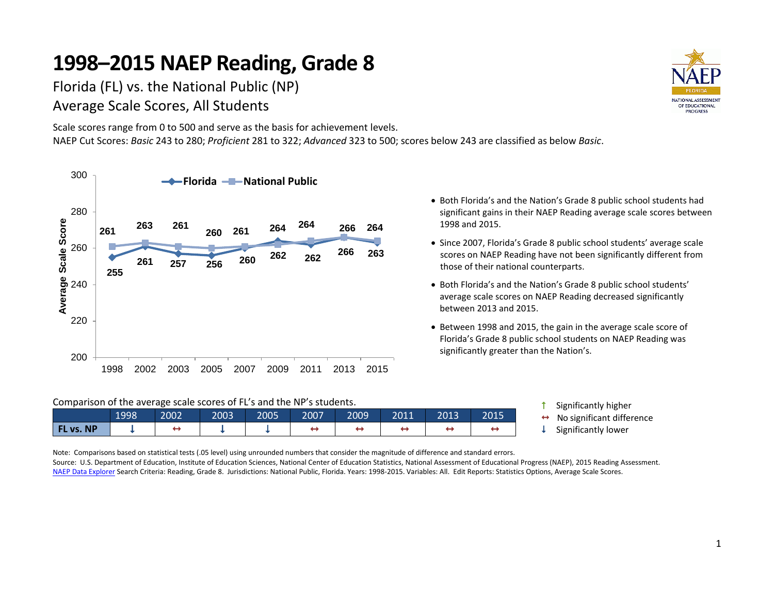Florida (FL) vs. the National Public (NP) Average Scale Scores, All Students

Scale scores range from 0 to 500 and serve as the basis for achievement levels. NAEP Cut Scores: *Basic* 243 to 280; *Proficient* 281 to 322; *Advanced* 323 to 500; scores below 243 are classified as below *Basic*.





- Both Florida's and the Nation's Grade 8 public school students had significant gains in their NAEP Reading average scale scores between 1998 and 2015.
- Since 2007, Florida's Grade 8 public school students' average scale scores on NAEP Reading have not been significantly different from those of their national counterparts.
- Both Florida's and the Nation's Grade 8 public school students' average scale scores on NAEP Reading decreased significantly between 2013 and 2015.
- Between 1998 and 2015, the gain in the average scale score of Florida's Grade 8 public school students on NAEP Reading was significantly greater than the Nation's.

|  |  |  |  | Comparison of the average scale scores of FL's and the NP's students. |
|--|--|--|--|-----------------------------------------------------------------------|
|--|--|--|--|-----------------------------------------------------------------------|

|                                 | 1998 | 2002 | 2003 | 2005 | 2007 | 2009 | 2011 | 2013 | 2015 |
|---------------------------------|------|------|------|------|------|------|------|------|------|
| <b>NP</b><br><b>VEIA</b><br>VS. |      |      |      |      |      |      |      |      |      |

**1** Significantly higher  $\leftrightarrow$  No significant difference  $\downarrow$  Significantly lower

Note: Comparisons based on statistical tests (.05 level) using unrounded numbers that consider the magnitude of difference and standard errors. Source: U.S. Department of Education, Institute of Education Sciences, National Center of Education Statistics, National Assessment of Educational Progress (NAEP), 2015 Reading Assessment. [NAEP Data Explorer S](http://nces.ed.gov/nationsreportcard/naepdata/)earch Criteria: Reading, Grade 8. Jurisdictions: National Public, Florida. Years: 1998-2015. Variables: All. Edit Reports: Statistics Options, Average Scale Scores.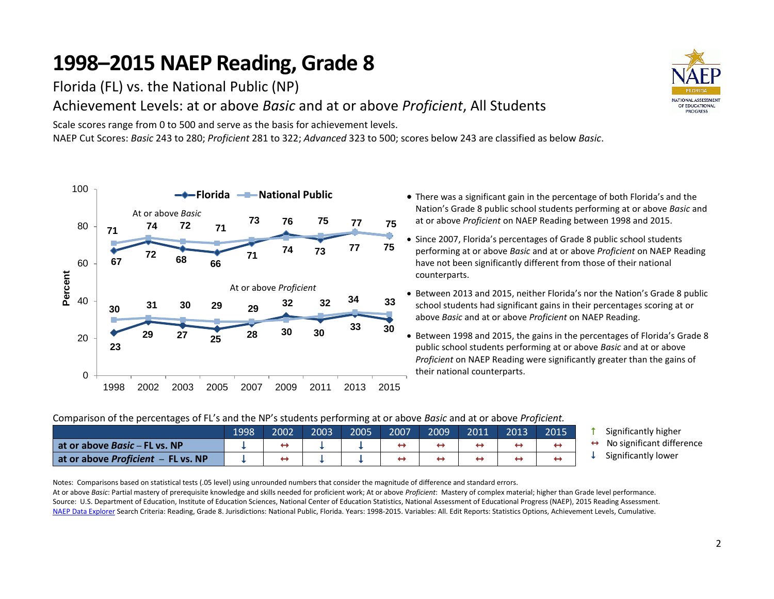Florida (FL) vs. the National Public (NP)

### Achievement Levels: at or above *Basic* and at or above *Proficient*, All Students

Scale scores range from 0 to 500 and serve as the basis for achievement levels. NAEP Cut Scores: *Basic* 243 to 280; *Proficient* 281 to 322; *Advanced* 323 to 500; scores below 243 are classified as below *Basic*.



- There was a significant gain in the percentage of both Florida's and the Nation's Grade 8 public school students performing at or above *Basic* and at or above *Proficient* on NAEP Reading between 1998 and 2015.
- Since 2007, Florida's percentages of Grade 8 public school students performing at or above *Basic* and at or above *Proficient* on NAEP Reading have not been significantly different from those of their national counterparts.
- Between 2013 and 2015, neither Florida's nor the Nation's Grade 8 public school students had significant gains in their percentages scoring at or above *Basic* and at or above *Proficient* on NAEP Reading.
- Between 1998 and 2015, the gains in the percentages of Florida's Grade 8 public school students performing at or above *Basic* and at or above *Proficient* on NAEP Reading were significantly greater than the gains of their national counterparts.

### Comparison of the percentages of FL's and the NP's students performing at or above *Basic* and at or above *Proficient.*

|                                           | 1998 | 2002 | 2003 | 2005 | 2007 | 2009 | 2011 | 2013 | 2015' |
|-------------------------------------------|------|------|------|------|------|------|------|------|-------|
| at or above <i>Basic</i> – FL vs. NP      |      |      |      |      |      |      |      |      |       |
| at or above <i>Proficient</i> – FL vs. NP |      |      |      |      | ↤    |      |      |      |       |

- Significantly higher
- No significant difference
- Significantly lower

Notes: Comparisons based on statistical tests (.05 level) using unrounded numbers that consider the magnitude of difference and standard errors.

At or above *Basic*: Partial mastery of prerequisite knowledge and skills needed for proficient work; At or above *Proficient*: Mastery of complex material; higher than Grade level performance. Source: U.S. Department of Education, Institute of Education Sciences, National Center of Education Statistics, National Assessment of Educational Progress (NAEP), 2015 Reading Assessment. [NAEP Data Explorer S](http://nces.ed.gov/nationsreportcard/naepdata/)earch Criteria: Reading, Grade 8. Jurisdictions: National Public, Florida. Years: 1998-2015. Variables: All. Edit Reports: Statistics Options, Achievement Levels, Cumulative.

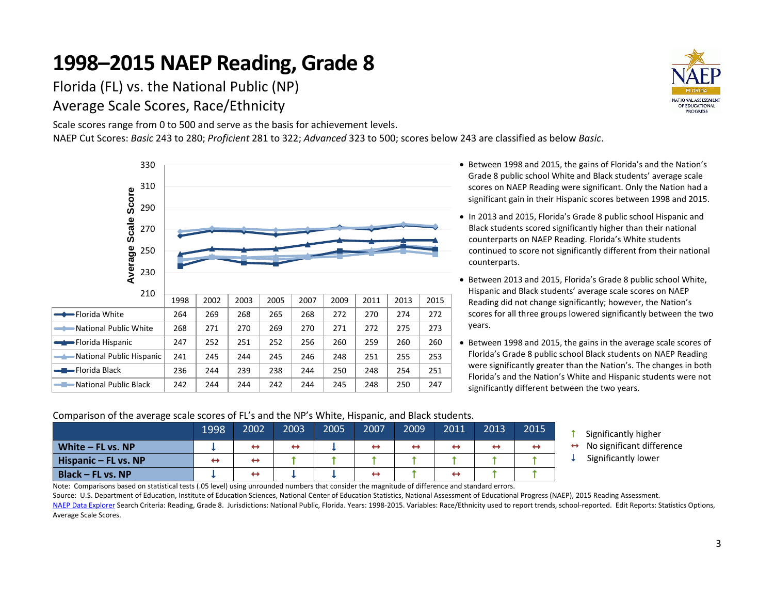Florida (FL) vs. the National Public (NP) Average Scale Scores, Race/Ethnicity

Scale scores range from 0 to 500 and serve as the basis for achievement levels. NAEP Cut Scores: *Basic* 243 to 280; *Proficient* 281 to 322; *Advanced* 323 to 500; scores below 243 are classified as below *Basic*.



- Between 1998 and 2015, the gains of Florida's and the Nation's Grade 8 public school White and Black students' average scale scores on NAEP Reading were significant. Only the Nation had a significant gain in their Hispanic scores between 1998 and 2015.
- In 2013 and 2015, Florida's Grade 8 public school Hispanic and Black students scored significantly higher than their national counterparts on NAEP Reading. Florida's White students continued to score not significantly different from their national counterparts.
- Between 2013 and 2015, Florida's Grade 8 public school White, Hispanic and Black students' average scale scores on NAEP Reading did not change significantly; however, the Nation's scores for all three groups lowered significantly between the two years.
- Between 1998 and 2015, the gains in the average scale scores of Florida's Grade 8 public school Black students on NAEP Reading were significantly greater than the Nation's. The changes in both Florida's and the Nation's White and Hispanic students were not significantly different between the two years.

### Comparison of the average scale scores of FL's and the NP's White, Hispanic, and Black students.

|                        | 1998 | 2002              | 2003              | 2005 | 2007              | 2009              | 2011              | 2013              | 2015 |
|------------------------|------|-------------------|-------------------|------|-------------------|-------------------|-------------------|-------------------|------|
| White $-$ FL vs. NP    |      | $\leftrightarrow$ | $\leftrightarrow$ |      | $\leftrightarrow$ | $\leftrightarrow$ | $\leftrightarrow$ | $\leftrightarrow$ | ←    |
| Hispanic $-$ FL vs. NP | ↔    | $\leftrightarrow$ |                   |      |                   |                   |                   |                   |      |
| Black – FL vs. NP      |      | ↔                 |                   |      | $\leftrightarrow$ |                   | $\leftrightarrow$ |                   |      |

- Significantly higher
- $\leftrightarrow$  No significant difference
- Significantly lower

Note: Comparisons based on statistical tests (.05 level) using unrounded numbers that consider the magnitude of difference and standard errors.

Source: U.S. Department of Education, Institute of Education Sciences, National Center of Education Statistics, National Assessment of Educational Progress (NAEP), 2015 Reading Assessment. [NAEP Data Explorer S](http://nces.ed.gov/nationsreportcard/naepdata/)earch Criteria: Reading, Grade 8. Jurisdictions: National Public, Florida. Years: 1998-2015. Variables: Race/Ethnicity used to report trends, school-reported. Edit Reports: Statistics Options, Average Scale Scores.

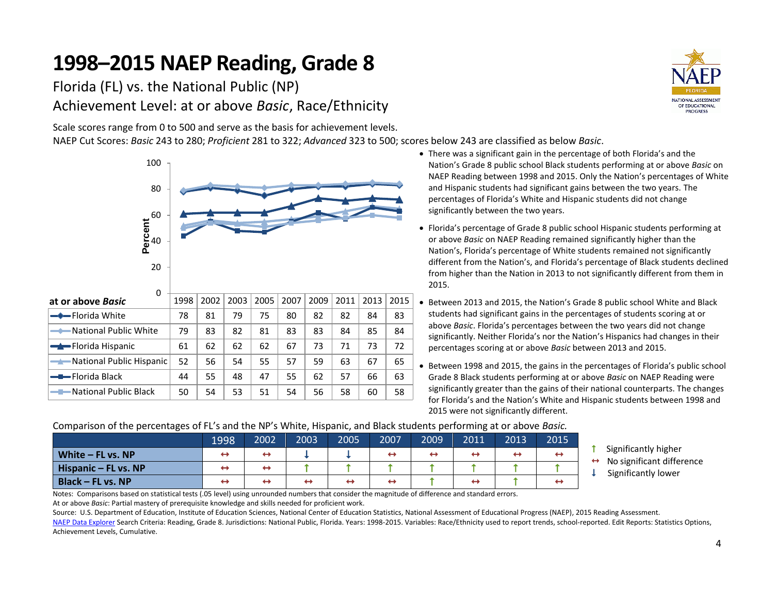Florida (FL) vs. the National Public (NP) Achievement Level: at or above *Basic*, Race/Ethnicity

Scale scores range from 0 to 500 and serve as the basis for achievement levels.

NAEP Cut Scores: *Basic* 243 to 280; *Proficient* 281 to 322; *Advanced* 323 to 500; scores below 243 are classified as below *Basic*.





- There was a significant gain in the percentage of both Florida's and the Nation's Grade 8 public school Black students performing at or above *Basic* on NAEP Reading between 1998 and 2015. Only the Nation's percentages of White and Hispanic students had significant gains between the two years. The percentages of Florida's White and Hispanic students did not change significantly between the two years.
- Florida's percentage of Grade 8 public school Hispanic students performing at or above *Basic* on NAEP Reading remained significantly higher than the Nation's, Florida's percentage of White students remained not significantly different from the Nation's, and Florida's percentage of Black students declined from higher than the Nation in 2013 to not significantly different from them in 2015.
- Between 2013 and 2015, the Nation's Grade 8 public school White and Black students had significant gains in the percentages of students scoring at or above *Basic*. Florida's percentages between the two years did not change significantly. Neither Florida's nor the Nation's Hispanics had changes in their percentages scoring at or above *Basic* between 2013 and 2015.
- Between 1998 and 2015, the gains in the percentages of Florida's public school Grade 8 Black students performing at or above *Basic* on NAEP Reading were significantly greater than the gains of their national counterparts. The changes for Florida's and the Nation's White and Hispanic students between 1998 and 2015 were not significantly different.

### Comparison of the percentages of FL's and the NP's White, Hispanic, and Black students performing at or above *Basic.*

|                          | 1998 | 2002              | 2003              | 2005 | 2007              | 2009              | 2011              | 2013              | 2015 |
|--------------------------|------|-------------------|-------------------|------|-------------------|-------------------|-------------------|-------------------|------|
| White $-$ FL vs. NP      | ↔    | ↔                 |                   |      | $\leftrightarrow$ | $\leftrightarrow$ | ↔                 | $\leftrightarrow$ |      |
| Hispanic – FL vs. NP     | ↔    | $\leftrightarrow$ |                   |      |                   |                   |                   |                   |      |
| <b>Black - FL vs. NP</b> | ↔    | ↔                 | $\leftrightarrow$ | ↔    | ↔                 |                   | $\leftrightarrow$ |                   |      |

- **1** Significantly higher
- No significant difference
- Significantly lower

Notes: Comparisons based on statistical tests (.05 level) using unrounded numbers that consider the magnitude of difference and standard errors. At or above *Basic*: Partial mastery of prerequisite knowledge and skills needed for proficient work.

Source: U.S. Department of Education, Institute of Education Sciences, National Center of Education Statistics, National Assessment of Educational Progress (NAEP), 2015 Reading Assessment. [NAEP Data Explorer S](http://nces.ed.gov/nationsreportcard/naepdata/)earch Criteria: Reading, Grade 8. Jurisdictions: National Public, Florida. Years: 1998-2015. Variables: Race/Ethnicity used to report trends, school-reported. Edit Reports: Statistics Options, Achievement Levels, Cumulative.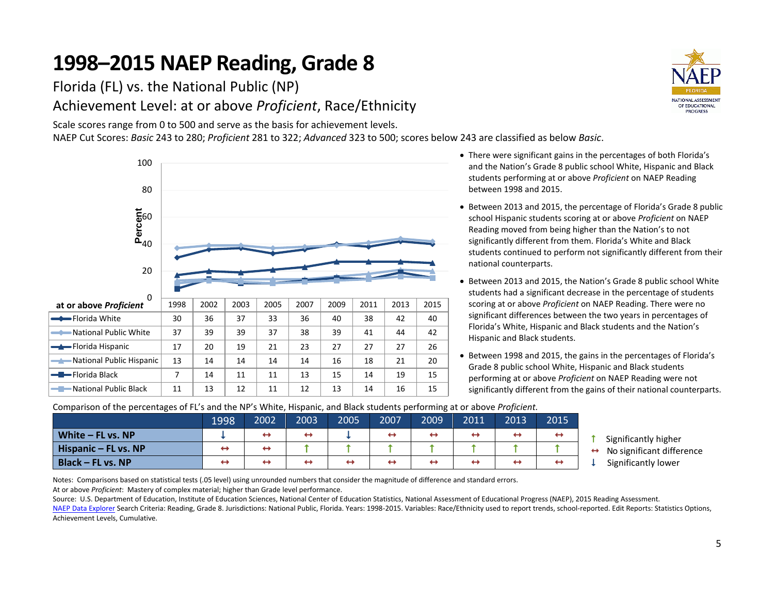Florida (FL) vs. the National Public (NP) Achievement Level: at or above *Proficient*, Race/Ethnicity

Scale scores range from 0 to 500 and serve as the basis for achievement levels. NAEP Cut Scores: *Basic* 243 to 280; *Proficient* 281 to 322; *Advanced* 323 to 500; scores below 243 are classified as below *Basic*.





- There were significant gains in the percentages of both Florida's and the Nation's Grade 8 public school White, Hispanic and Black students performing at or above *Proficient* on NAEP Reading between 1998 and 2015.
- Between 2013 and 2015, the percentage of Florida's Grade 8 public school Hispanic students scoring at or above *Proficient* on NAEP Reading moved from being higher than the Nation's to not significantly different from them. Florida's White and Black students continued to perform not significantly different from their national counterparts.
- Between 2013 and 2015, the Nation's Grade 8 public school White students had a significant decrease in the percentage of students scoring at or above *Proficient* on NAEP Reading. There were no significant differences between the two years in percentages of Florida's White, Hispanic and Black students and the Nation's Hispanic and Black students.
- Between 1998 and 2015, the gains in the percentages of Florida's Grade 8 public school White, Hispanic and Black students performing at or above *Proficient* on NAEP Reading were not significantly different from the gains of their national counterparts.

Comparison of the percentages of FL's and the NP's White, Hispanic, and Black students performing at or above *Proficient.*

|                          | 1998              | 2002              | 2003 | 2005 | 2007 | 2009 | 2011 | 2013              | 2015              |  |
|--------------------------|-------------------|-------------------|------|------|------|------|------|-------------------|-------------------|--|
| White $-$ FL vs. NP      |                   | ↔                 |      |      |      | ↔    | ↔    | $\leftrightarrow$ | $\leftrightarrow$ |  |
| Hispanic $-$ FL vs. NP   | $\leftrightarrow$ | ↔                 |      |      |      |      |      |                   |                   |  |
| <b>Black - FL vs. NP</b> | ↔                 | $\leftrightarrow$ | ↔    | −    |      | ↤    |      | $\leftrightarrow$ |                   |  |

- Significantly higher
- No significant difference
- Significantly lower

Notes: Comparisons based on statistical tests (.05 level) using unrounded numbers that consider the magnitude of difference and standard errors.

At or above *Proficient*: Mastery of complex material; higher than Grade level performance.

Source: U.S. Department of Education, Institute of Education Sciences, National Center of Education Statistics, National Assessment of Educational Progress (NAEP), 2015 Reading Assessment.

[NAEP Data Explorer S](http://nces.ed.gov/nationsreportcard/naepdata/)earch Criteria: Reading, Grade 8. Jurisdictions: National Public, Florida. Years: 1998-2015. Variables: Race/Ethnicity used to report trends, school-reported. Edit Reports: Statistics Options, Achievement Levels, Cumulative.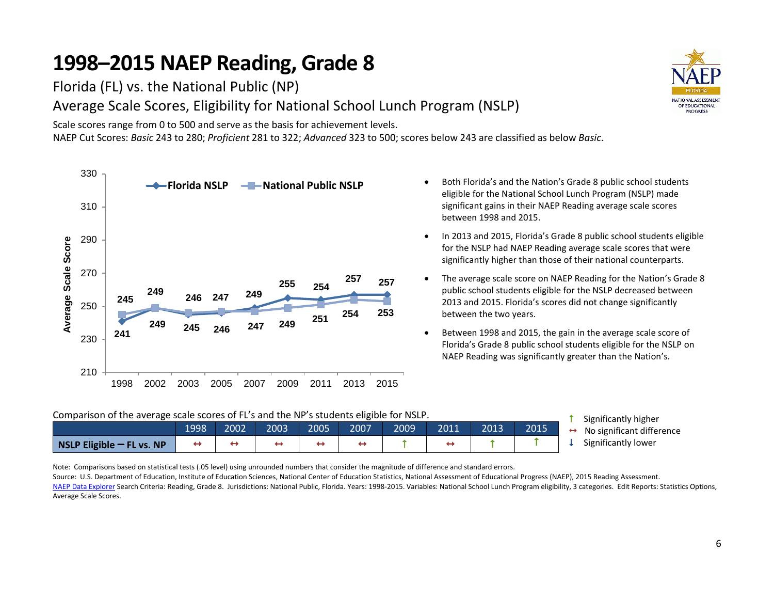Florida (FL) vs. the National Public (NP)

Average Scale Scores, Eligibility for National School Lunch Program (NSLP)

Scale scores range from 0 to 500 and serve as the basis for achievement levels. NAEP Cut Scores: *Basic* 243 to 280; *Proficient* 281 to 322; *Advanced* 323 to 500; scores below 243 are classified as below *Basic*.



- Both Florida's and the Nation's Grade 8 public school students eligible for the National School Lunch Program (NSLP) made significant gains in their NAEP Reading average scale scores between 1998 and 2015.
- In 2013 and 2015, Florida's Grade 8 public school students eligible for the NSLP had NAEP Reading average scale scores that were significantly higher than those of their national counterparts.
- The average scale score on NAEP Reading for the Nation's Grade 8 public school students eligible for the NSLP decreased between 2013 and 2015. Florida's scores did not change significantly between the two years.
- Between 1998 and 2015, the gain in the average scale score of Florida's Grade 8 public school students eligible for the NSLP on NAEP Reading was significantly greater than the Nation's.

#### Comparison of the average scale scores of FL's and the NP's students eligible for NSLP.

|                             | 1998' | 2002 | 2003 | 2005 | 2007 | 2009 | 2011 | 2013 | 2015 | ← |
|-----------------------------|-------|------|------|------|------|------|------|------|------|---|
| $NSLP$ Eligible – FL vs. NP |       |      |      |      |      |      |      |      |      |   |

- Significantly higher
- No significant difference
- Significantly lower

Note: Comparisons based on statistical tests (.05 level) using unrounded numbers that consider the magnitude of difference and standard errors.

Source: U.S. Department of Education, Institute of Education Sciences, National Center of Education Statistics, National Assessment of Educational Progress (NAEP), 2015 Reading Assessment. [NAEP Data Explorer S](http://nces.ed.gov/nationsreportcard/naepdata/)earch Criteria: Reading, Grade 8. Jurisdictions: National Public, Florida. Years: 1998-2015. Variables: National School Lunch Program eligibility, 3 categories. Edit Reports: Statistics Options, Average Scale Scores.

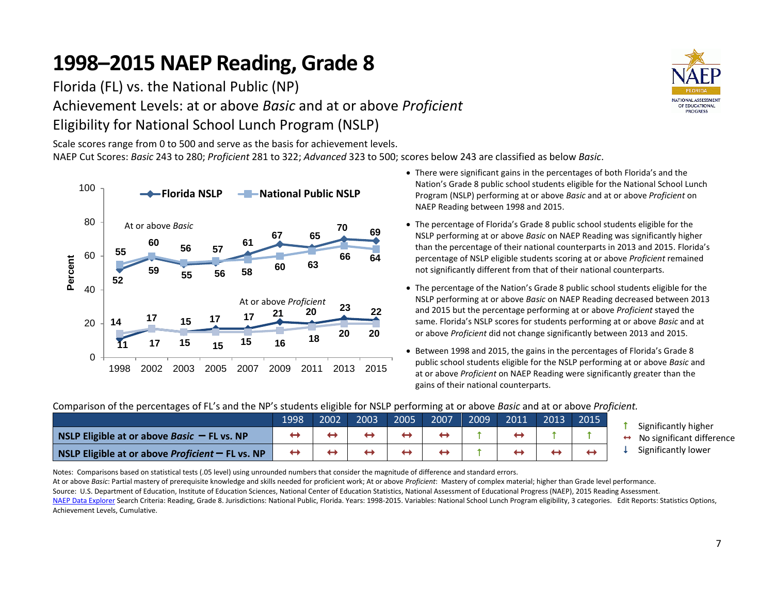Florida (FL) vs. the National Public (NP)

Achievement Levels: at or above *Basic* and at or above *Proficient* Eligibility for National School Lunch Program (NSLP)

Scale scores range from 0 to 500 and serve as the basis for achievement levels. NAEP Cut Scores: *Basic* 243 to 280; *Proficient* 281 to 322; *Advanced* 323 to 500; scores below 243 are classified as below *Basic*.

Notes: Comparisons based on statistical tests (.05 level) using unrounded numbers that consider the magnitude of difference and standard errors.



Achievement Levels, Cumulative.

- There were significant gains in the percentages of both Florida's and the Nation's Grade 8 public school students eligible for the National School Lunch Program (NSLP) performing at or above *Basic* and at or above *Proficient* on NAEP Reading between 1998 and 2015.
- The percentage of Florida's Grade 8 public school students eligible for the NSLP performing at or above *Basic* on NAEP Reading was significantly higher than the percentage of their national counterparts in 2013 and 2015. Florida's percentage of NSLP eligible students scoring at or above *Proficient* remained not significantly different from that of their national counterparts.
- The percentage of the Nation's Grade 8 public school students eligible for the NSLP performing at or above *Basic* on NAEP Reading decreased between 2013 and 2015 but the percentage performing at or above *Proficient* stayed the same. Florida's NSLP scores for students performing at or above *Basic* and at or above *Proficient* did not change significantly between 2013 and 2015.
- Between 1998 and 2015, the gains in the percentages of Florida's Grade 8 public school students eligible for the NSLP performing at or above *Basic* and at or above *Proficient* on NAEP Reading were significantly greater than the gains of their national counterparts.

| Companion or the percentages of FE's and the NE stadents engine for NSEF performing at or above <i>basic</i> and at or above <i>Flo</i> percint. |      |      |      |      |      |      |      |      |      |            |
|--------------------------------------------------------------------------------------------------------------------------------------------------|------|------|------|------|------|------|------|------|------|------------|
|                                                                                                                                                  | 1998 | 2002 | 2003 | 2005 | 2007 | 2009 | 2011 | 2013 | 2015 | Significar |
| <b>NSLP Eligible at or above Basic <math>-</math> FL vs. NP</b>                                                                                  |      |      |      |      |      |      |      |      |      | No signif  |
| NSLP Eligible at or above Proficient $-$ FL vs. NP                                                                                               |      |      |      |      |      |      |      |      |      | Significar |

Comparison of the percentages of FL's and the NP's students eligible for NSLP performing at or above *Basic* and at or above *Proficient.*

At or above *Basic*: Partial mastery of prerequisite knowledge and skills needed for proficient work; At or above *Proficient*: Mastery of complex material; higher than Grade level performance. Source: U.S. Department of Education, Institute of Education Sciences, National Center of Education Statistics, National Assessment of Educational Progress (NAEP), 2015 Reading Assessment.

[NAEP Data Explorer S](http://nces.ed.gov/nationsreportcard/naepdata/)earch Criteria: Reading, Grade 8. Jurisdictions: National Public, Florida. Years: 1998-2015. Variables: National School Lunch Program eligibility, 3 categories. Edit Reports: Statistics Options,

- ntly higher
- ficant difference
- ntly lower

**NATIONAL ASSESSMENT** OF EDUCATIONAL **PROGRESS** 

7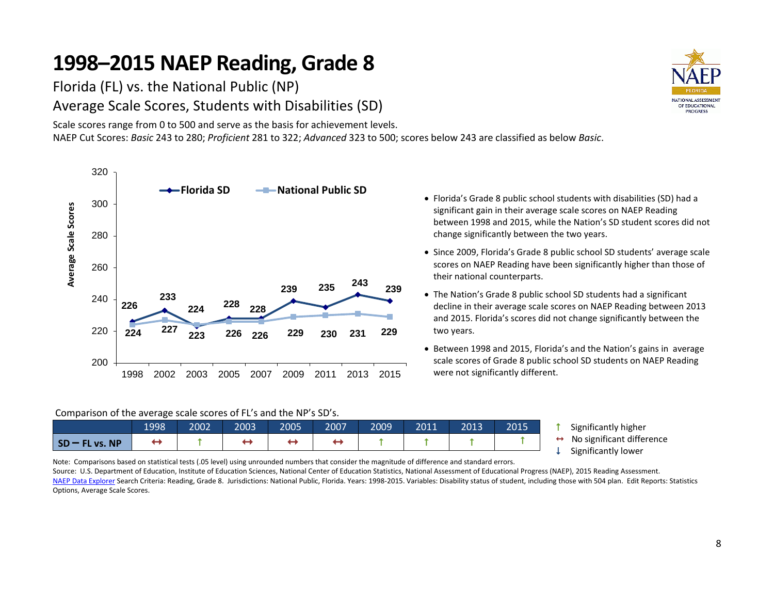Florida (FL) vs. the National Public (NP) Average Scale Scores, Students with Disabilities (SD)

Scale scores range from 0 to 500 and serve as the basis for achievement levels. NAEP Cut Scores: *Basic* 243 to 280; *Proficient* 281 to 322; *Advanced* 323 to 500; scores below 243 are classified as below *Basic*.



#### Comparison of the average scale scores of FL's and the NP's SD's.

|                  | 1998 | 2002 | 2003 | 2005 | 2007 | 2009 | 2011 | 2013 | 2015 |
|------------------|------|------|------|------|------|------|------|------|------|
| $SD - FL vs. NP$ |      |      |      |      |      |      |      |      |      |

 Florida's Grade 8 public school students with disabilities (SD) had a significant gain in their average scale scores on NAEP Reading between 1998 and 2015, while the Nation's SD student scores did not change significantly between the two years.

- Since 2009, Florida's Grade 8 public school SD students' average scale scores on NAEP Reading have been significantly higher than those of their national counterparts.
- The Nation's Grade 8 public school SD students had a significant decline in their average scale scores on NAEP Reading between 2013 and 2015. Florida's scores did not change significantly between the two years.
- Between 1998 and 2015, Florida's and the Nation's gains in average scale scores of Grade 8 public school SD students on NAEP Reading were not significantly different.

**1** Significantly higher

 $\leftrightarrow$  No significant difference

 $\downarrow$  Significantly lower

Note: Comparisons based on statistical tests (.05 level) using unrounded numbers that consider the magnitude of difference and standard errors.

Source: U.S. Department of Education, Institute of Education Sciences, National Center of Education Statistics, National Assessment of Educational Progress (NAEP), 2015 Reading Assessment. [NAEP Data Explorer S](http://nces.ed.gov/nationsreportcard/naepdata/)earch Criteria: Reading, Grade 8. Jurisdictions: National Public, Florida. Years: 1998-2015. Variables: Disability status of student, including those with 504 plan. Edit Reports: Statistics Options, Average Scale Scores.

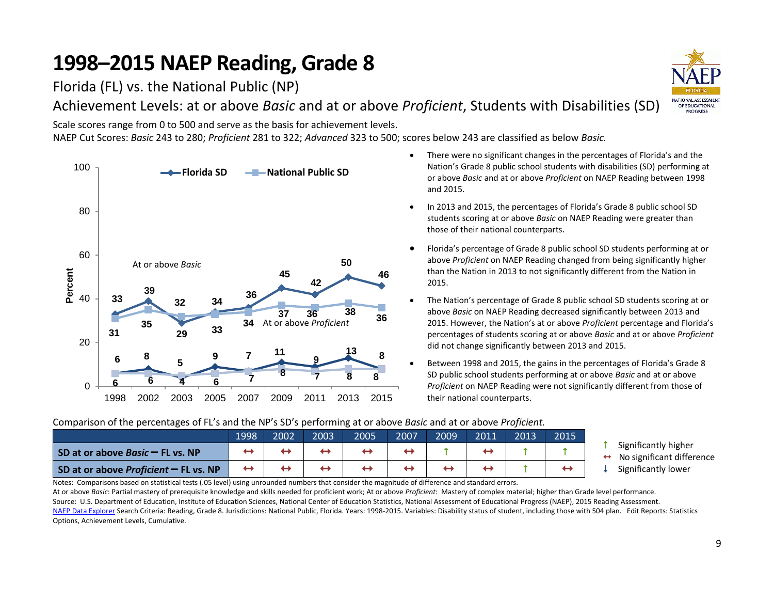Florida (FL) vs. the National Public (NP)

Achievement Levels: at or above *Basic* and at or above *Proficient*, Students with Disabilities (SD)

Scale scores range from 0 to 500 and serve as the basis for achievement levels. NAEP Cut Scores: *Basic* 243 to 280; *Proficient* 281 to 322; *Advanced* 323 to 500; scores below 243 are classified as below *Basic.* 



- There were no significant changes in the percentages of Florida's and the Nation's Grade 8 public school students with disabilities (SD) performing at or above *Basic* and at or above *Proficient* on NAEP Reading between 1998 and 2015.
- In 2013 and 2015, the percentages of Florida's Grade 8 public school SD students scoring at or above *Basic* on NAEP Reading were greater than those of their national counterparts.
- Florida's percentage of Grade 8 public school SD students performing at or above *Proficient* on NAEP Reading changed from being significantly higher than the Nation in 2013 to not significantly different from the Nation in 2015.
- The Nation's percentage of Grade 8 public school SD students scoring at or above *Basic* on NAEP Reading decreased significantly between 2013 and 2015. However, the Nation's at or above *Proficient* percentage and Florida's percentages of students scoring at or above *Basic* and at or above *Proficient* did not change significantly between 2013 and 2015.
- Between 1998 and 2015, the gains in the percentages of Florida's Grade 8 SD public school students performing at or above *Basic* and at or above *Proficient* on NAEP Reading were not significantly different from those of their national counterparts.

### Comparison of the percentages of FL's and the NP's SD's performing at or above *Basic* and at or above *Proficient.*

|                                                | 1998 | 2002 | 2003 | 2005 | 2007 | 2009 | 2011 | 2013 | 2015 |
|------------------------------------------------|------|------|------|------|------|------|------|------|------|
| SD at or above <i>Basic</i> $-$ FL vs. NP      |      |      |      |      |      |      |      |      |      |
| SD at or above <i>Proficient</i> $-$ FL vs. NP |      |      |      |      |      |      |      |      |      |

- Significantly higher
- $\leftrightarrow$  No significant difference
- Significantly lower

Notes: Comparisons based on statistical tests (.05 level) using unrounded numbers that consider the magnitude of difference and standard errors.

At or above *Basic*: Partial mastery of prerequisite knowledge and skills needed for proficient work; At or above *Proficient*: Mastery of complex material; higher than Grade level performance. Source: U.S. Department of Education, Institute of Education Sciences, National Center of Education Statistics, National Assessment of Educational Progress (NAEP), 2015 Reading Assessment. [NAEP Data Explorer S](http://nces.ed.gov/nationsreportcard/naepdata/)earch Criteria: Reading, Grade 8. Jurisdictions: National Public, Florida. Years: 1998-2015. Variables: Disability status of student, including those with 504 plan. Edit Reports: Statistics Options, Achievement Levels, Cumulative.

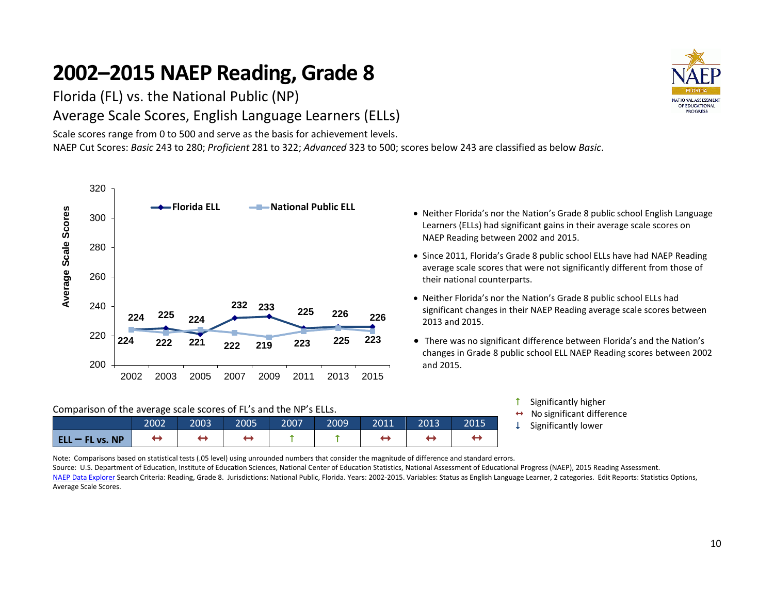Florida (FL) vs. the National Public (NP) Average Scale Scores, English Language Learners (ELLs)

Scale scores range from 0 to 500 and serve as the basis for achievement levels. NAEP Cut Scores: *Basic* 243 to 280; *Proficient* 281 to 322; *Advanced* 323 to 500; scores below 243 are classified as below *Basic*.



#### Comparison of the average scale scores of FL's and the NP's ELLs.

|                       | 2002 | 2003 | 2005 | 2007 | 2009 | 2011 | 2013 | 2015 |  |
|-----------------------|------|------|------|------|------|------|------|------|--|
| $ $ ELL $-$ FL vs. NP |      |      |      |      |      |      |      |      |  |

Learners (ELLs) had significant gains in their average scale scores on NAEP Reading between 2002 and 2015.

Neither Florida's nor the Nation's Grade 8 public school English Language

- Since 2011, Florida's Grade 8 public school ELLs have had NAEP Reading average scale scores that were not significantly different from those of their national counterparts.
- Neither Florida's nor the Nation's Grade 8 public school ELLs had significant changes in their NAEP Reading average scale scores between 2013 and 2015.
- There was no significant difference between Florida's and the Nation's changes in Grade 8 public school ELL NAEP Reading scores between 2002 and 2015.

| Significantly higher                        |
|---------------------------------------------|
| $\leftrightarrow$ No significant difference |
| $\downarrow$ Significantly lower            |

Note: Comparisons based on statistical tests (.05 level) using unrounded numbers that consider the magnitude of difference and standard errors.

Source: U.S. Department of Education, Institute of Education Sciences, National Center of Education Statistics, National Assessment of Educational Progress (NAEP), 2015 Reading Assessment. [NAEP Data Explorer S](http://nces.ed.gov/nationsreportcard/naepdata/)earch Criteria: Reading, Grade 8. Jurisdictions: National Public, Florida. Years: 2002-2015. Variables: Status as English Language Learner, 2 categories. Edit Reports: Statistics Options, Average Scale Scores.